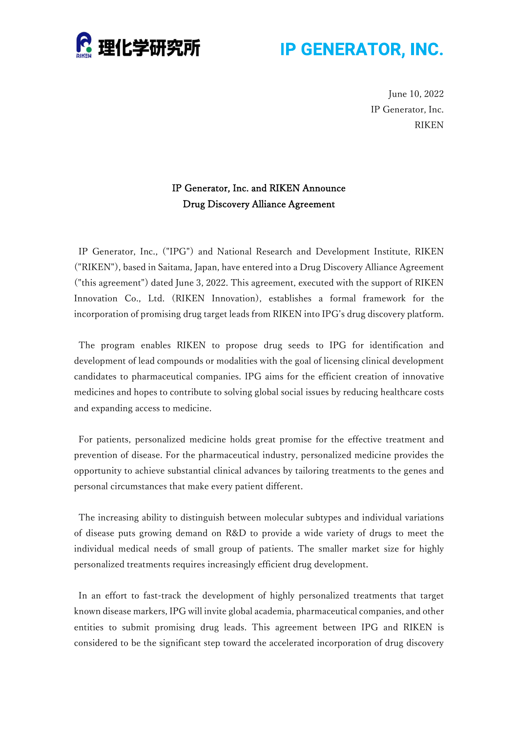

## **IP GENERATOR, INC.**

June 10, 2022 IP Generator, Inc. RIKEN

### IP Generator, Inc. and RIKEN Announce Drug Discovery Alliance Agreement

IP Generator, Inc., ("IPG") and National Research and Development Institute, RIKEN ("RIKEN"), based in Saitama, Japan, have entered into a Drug Discovery Alliance Agreement ("this agreement") dated June 3, 2022. This agreement, executed with the support of RIKEN Innovation Co., Ltd. (RIKEN Innovation), establishes a formal framework for the incorporation of promising drug target leads from RIKEN into IPG's drug discovery platform.

The program enables RIKEN to propose drug seeds to IPG for identification and development of lead compounds or modalities with the goal of licensing clinical development candidates to pharmaceutical companies. IPG aims for the efficient creation of innovative medicines and hopes to contribute to solving global social issues by reducing healthcare costs and expanding access to medicine.

For patients, personalized medicine holds great promise for the effective treatment and prevention of disease. For the pharmaceutical industry, personalized medicine provides the opportunity to achieve substantial clinical advances by tailoring treatments to the genes and personal circumstances that make every patient different.

The increasing ability to distinguish between molecular subtypes and individual variations of disease puts growing demand on R&D to provide a wide variety of drugs to meet the individual medical needs of small group of patients. The smaller market size for highly personalized treatments requires increasingly efficient drug development.

In an effort to fast-track the development of highly personalized treatments that target known disease markers, IPG will invite global academia, pharmaceutical companies, and other entities to submit promising drug leads. This agreement between IPG and RIKEN is considered to be the significant step toward the accelerated incorporation of drug discovery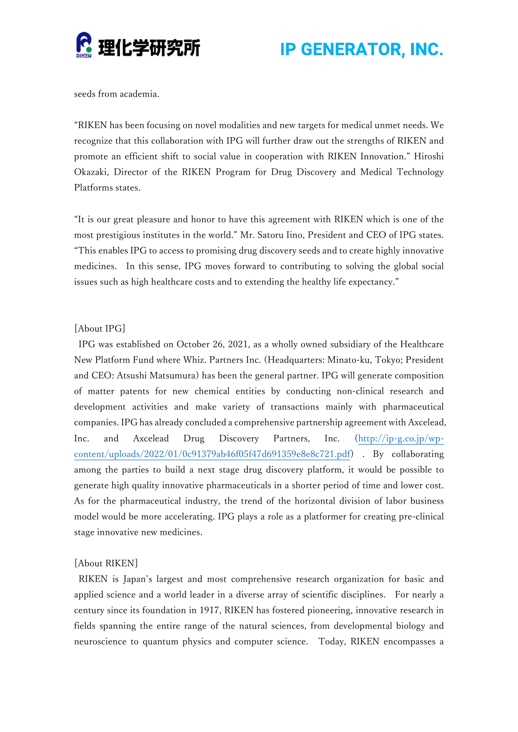

**IP GENERATOR, INC.** 

seeds from academia.

"RIKEN has been focusing on novel modalities and new targets for medical unmet needs. We recognize that this collaboration with IPG will further draw out the strengths of RIKEN and promote an efficient shift to social value in cooperation with RIKEN Innovation." Hiroshi Okazaki, Director of the RIKEN Program for Drug Discovery and Medical Technology Platforms states.

"It is our great pleasure and honor to have this agreement with RIKEN which is one of the most prestigious institutes in the world." Mr. Satoru Iino, President and CEO of IPG states. "This enables IPG to access to promising drug discovery seeds and to create highly innovative medicines. In this sense, IPG moves forward to contributing to solving the global social issues such as high healthcare costs and to extending the healthy life expectancy."

#### [About IPG]

IPG was established on October 26, 2021, as a wholly owned subsidiary of the Healthcare New Platform Fund where Whiz. Partners Inc. (Headquarters: Minato-ku, Tokyo; President and CEO: Atsushi Matsumura) has been the general partner. IPG will generate composition of matter patents for new chemical entities by conducting non-clinical research and development activities and make variety of transactions mainly with pharmaceutical companies. IPG has already concluded a comprehensive partnership agreement with Axcelead, Inc. and Axcelead Drug Discovery Partners, Inc. (http://ip-g.co.jp/wpcontent/uploads/2022/01/0c91379ab46f05f47d691359e8e8c721.pdf) . By collaborating among the parties to build a next stage drug discovery platform, it would be possible to generate high quality innovative pharmaceuticals in a shorter period of time and lower cost. As for the pharmaceutical industry, the trend of the horizontal division of labor business model would be more accelerating. IPG plays a role as a platformer for creating pre-clinical stage innovative new medicines.

#### [About RIKEN]

RIKEN is Japan's largest and most comprehensive research organization for basic and applied science and a world leader in a diverse array of scientific disciplines. For nearly a century since its foundation in 1917, RIKEN has fostered pioneering, innovative research in fields spanning the entire range of the natural sciences, from developmental biology and neuroscience to quantum physics and computer science. Today, RIKEN encompasses a